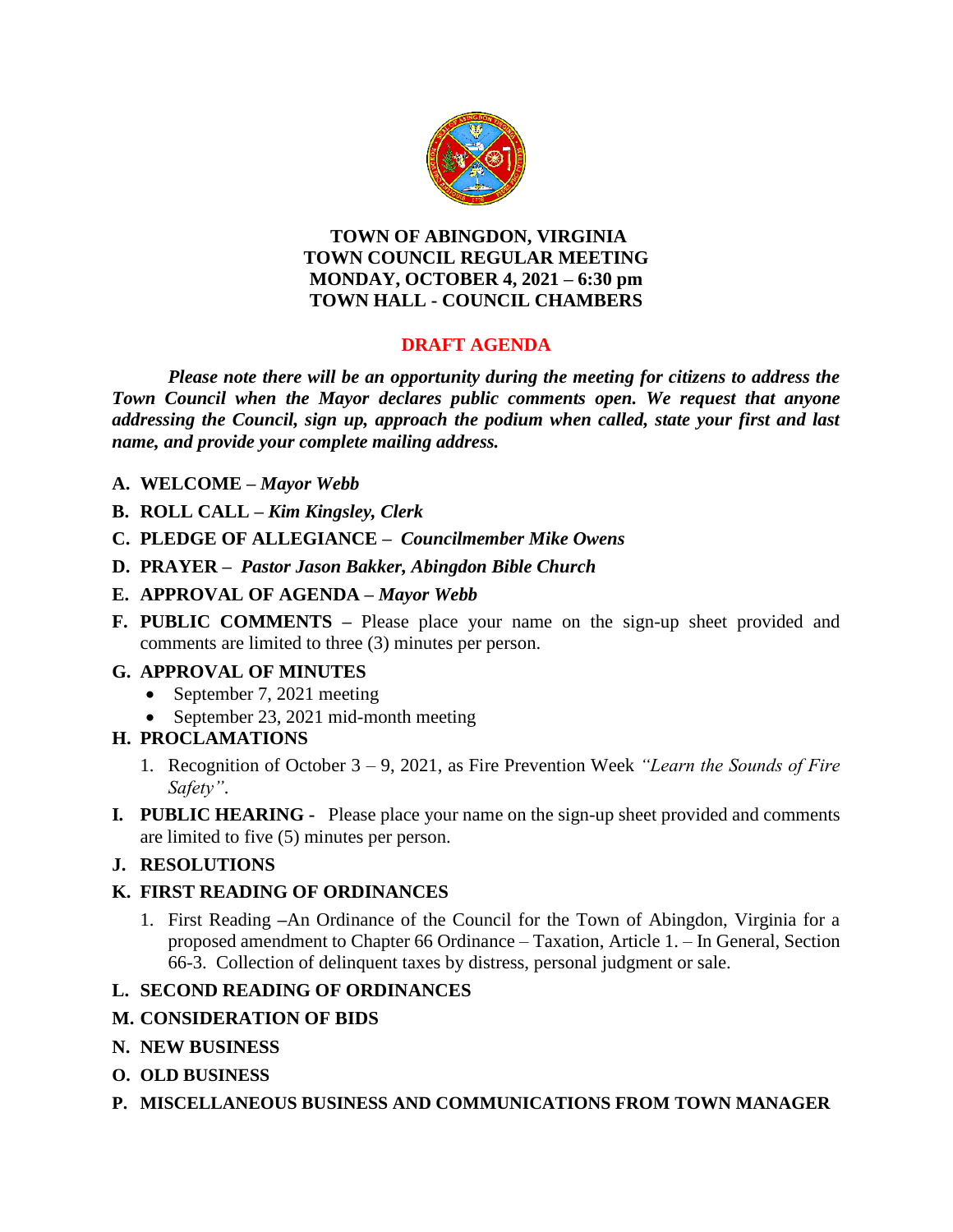

#### **TOWN OF ABINGDON, VIRGINIA TOWN COUNCIL REGULAR MEETING MONDAY, OCTOBER 4, 2021 – 6:30 pm TOWN HALL - COUNCIL CHAMBERS**

# **DRAFT AGENDA**

*Please note there will be an opportunity during the meeting for citizens to address the Town Council when the Mayor declares public comments open. We request that anyone addressing the Council, sign up, approach the podium when called, state your first and last name, and provide your complete mailing address.*

- **A. WELCOME –** *Mayor Webb*
- **B. ROLL CALL –** *Kim Kingsley, Clerk*
- **C. PLEDGE OF ALLEGIANCE –** *Councilmember Mike Owens*
- **D. PRAYER –** *Pastor Jason Bakker, Abingdon Bible Church*
- **E. APPROVAL OF AGENDA –** *Mayor Webb*
- **F. PUBLIC COMMENTS –** Please place your name on the sign-up sheet provided and comments are limited to three (3) minutes per person.

# **G. APPROVAL OF MINUTES**

- September 7, 2021 meeting
- September 23, 2021 mid-month meeting

# **H. PROCLAMATIONS**

- 1. Recognition of October 3 9, 2021, as Fire Prevention Week *"Learn the Sounds of Fire Safety"*.
- **I***.* **PUBLIC HEARING** Please place your name on the sign-up sheet provided and comments are limited to five (5) minutes per person.

# **J. RESOLUTIONS**

# **K. FIRST READING OF ORDINANCES**

1. First Reading **–**An Ordinance of the Council for the Town of Abingdon, Virginia for a proposed amendment to Chapter 66 Ordinance – Taxation, Article 1. – In General, Section 66-3. Collection of delinquent taxes by distress, personal judgment or sale.

# **L. SECOND READING OF ORDINANCES**

# **M. CONSIDERATION OF BIDS**

- **N. NEW BUSINESS**
- **O. OLD BUSINESS**
- **P. MISCELLANEOUS BUSINESS AND COMMUNICATIONS FROM TOWN MANAGER**